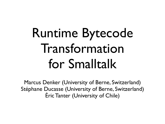## Runtime Bytecode Transformation for Smalltalk

Marcus Denker (University of Berne, Switzerland) Stéphane Ducasse (University of Berne, Switzerland) Éric Tanter (University of Chile)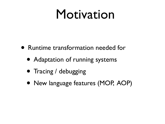#### Motivation

- Runtime transformation needed for
	- Adaptation of running systems
	- Tracing / debugging
	- New language features (MOP, AOP)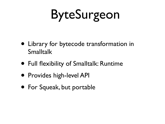## ByteSurgeon

- Library for bytecode transformation in Smalltalk
- Full flexibility of Smalltalk: Runtime
- Provides high-level API
- For Squeak, but portable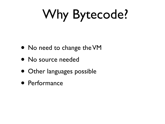# Why Bytecode?

- No need to change the VM
- No source needed
- Other languages possible
- Performance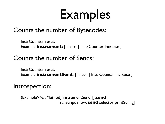### Examples

#### Counts the number of Bytecodes:

InstrCounter reset. Example **instrument:** [:instr | InstrCounter increase ]

#### Counts the number of Sends:

InstrCounter reset. Example **instrumentSend:** [ :instr | InstrCounter increase ]

#### Introspection:

(Example>>#aMethod) instrumentSend: [ :**send** | Transcript show: **send** selector printString]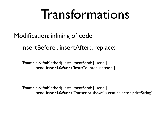### Transformations

Modification: inlining of code

insertBefore:, insertAfter:, replace:

(Example>>#aMethod) instrumentSend: [ :send | send **insertAfter:** 'InstrCounter increase']

(Example>>#aMethod) instrumentSend: [ :send | send **insertAfter:** 'Transcript show:', **send** selector printString].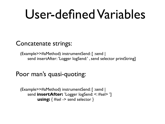### User-defined Variables

Concatenate strings:

(Example>>#aMethod) instrumentSend: [ :send | send insertAfter: 'Logger logSend:' , send selector printString]

#### Poor man's quasi-quoting:

(Example>>#aMethod) instrumentSend: [ :send | send *insertAfter:* 'Logger logSend: <: #sel> '] **using:**  $\{$  #sel -> send selector  $\}$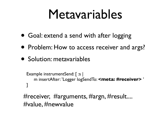### Metavariables

- Goal: extend a send with after logging
- Problem: How to access receiver and args?
- Solution: metavariables

```
Example instrumentSend: [ :s | 
   m insertAfter: 'Logger logSendTo: <meta: #receiver> ' 
]
```
#receiver, #arguments, #argn, #result.... #value, #newvalue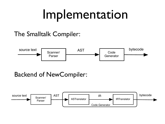### Implementation

#### The Smalltalk Compiler:



#### Backend of NewCompiler:

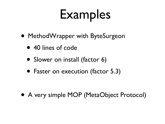## Examples

- MethodWrapper with ByteSurgeon
	- 40 lines of code
	- Slower on install (factor 6)
	- Faster on execution (factor 5.3)

• A very simple MOP (MetaObject Protocol)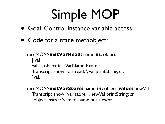## Simple MOP

- Goal: Control instance variable access
- Code for a trace metaobject:

TraceMO>>**instVarRead:** name **in:** object | val | val := object instVarNamed: name. Transcript show: 'var read: ', val printString; cr. ˆval.

TraceMO>>**instVarStore:** name **in:** object **value:** newVal Transcript show: 'var store: ', newVal printString; cr. ˆobject instVarNamed: name put: newVal.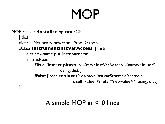## **MOP**

#### MOP class >>**install:** mop **on:** aClass | dict | dict := Dictionary newFrom: #mo -> mop. aClass **instrumentInstVarAccess:** [:instr | dict at: #name put: instr varname. instr isRead ifTrue: [instr **replace:** '<: #mo> instVarRead: <: #name> in: self' using: dict ] ifFalse: [instr **replace:** '<: #mo> instVarStore: <: #name> in: self value: <meta: #newvalue> ' using: dict] ]

#### A simple MOP in <10 lines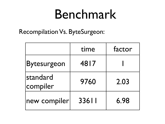### Benchmark

Recompilation Vs. ByteSurgeon:

|                             | time  | factor |
|-----------------------------|-------|--------|
| <b>Bytesurgeon</b>          | 4817  |        |
| <b>standard</b><br>compiler | 9760  | 2.03   |
| new compiler                | 33611 | 6.98   |